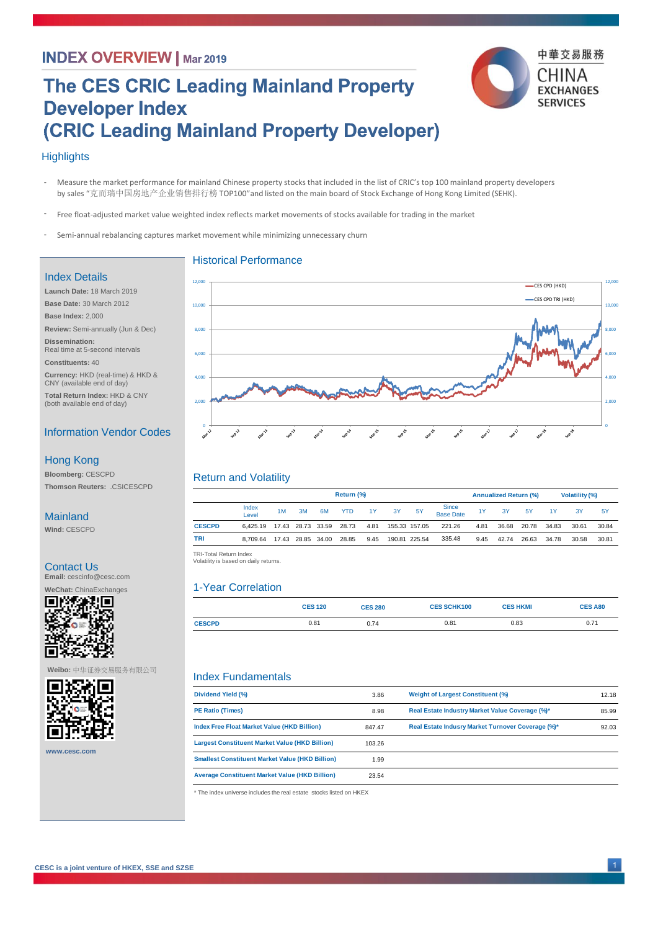## **INDEX OVERVIEW | Mar 2019**

# **The CES CRIC Leading Mainland Property Developer Index** (CRIC Leading Mainland Property Developer)



#### **Highlights**

- Measure the market performance for mainland Chinese property stocks that included in the list of CRIC's top 100 mainland property developers by sales "克而瑞中国房地产企业销售排行榜 TOP100"and listed on the main board of Stock Exchange of Hong Kong Limited (SEHK). -
- Free float-adjusted market value weighted index reflects market movements of stocks available for trading in the market -
- Semi-annual rebalancing captures market movement while minimizing unnecessary churn -

#### Index Details

**Launch Date:** 18 March 2019 **Base Date:** 30 March 2012 **Base Index:** 2,000 **Review:** Semi-annually (Jun & Dec) **Dissemination:**  Real time at 5-second intervals **Constituents:** 40 **Currency:** HKD (real-time) & HKD & CNY (available end of day)

**Total Return Index:** HKD & CNY (both available end of day)

### Information Vendor Codes

#### Hong Kong

**Bloomberg:** CESCPD **Thomson Reuters:** .CSICESCPD

#### Mainland

**Wind:** CESCPD

#### Contact Us

**Email:** cescinfo@cesc.com



**Weibo:** 中华证券交易服务有限公司



**www.cesc.com**



#### Return and Volatility

|               | Return (%)                 |    |    |                   |            |      |    |               |                    | <b>Annualized Return (%)</b> |       |       | <b>Volatility (%)</b> |       |           |
|---------------|----------------------------|----|----|-------------------|------------|------|----|---------------|--------------------|------------------------------|-------|-------|-----------------------|-------|-----------|
|               | Index<br>Level             | 1M | 3M | 6M                | <b>YTD</b> | 1Y   | 3Y | 5Y            | Since<br>Base Date | 1Y                           | 3Y    | 5Y    | 1Y                    | 3Y    | <b>5Y</b> |
| <b>CESCPD</b> | 6.425.19 17.43 28.73 33.59 |    |    |                   | 28.73      | 4.81 |    | 155.33 157.05 | 221.26             | 4.81                         | 36.68 | 20.78 | 34.83                 | 30.61 | 30.84     |
| <b>TRI</b>    | 8.709.64                   |    |    | 17.43 28.85 34.00 | 28.85      | 9.45 |    | 190.81 225.54 | 335.48             | 9.45                         | 42.74 | 26.63 | 34.78                 | 30.58 | 30.81     |

 TRI -Total Return Index TRI-Total Return Index Volatility is based on daily returns. Volatility is based on daily returns.

#### 1-Year Correlation

|               | <b>CES 120</b> | <b>CES 280</b> | <b>CES SCHK100</b> | <b>CES HKMI</b> | <b>CES A80</b> |
|---------------|----------------|----------------|--------------------|-----------------|----------------|
| <b>CESCPD</b> | 0.81           | 0.74           | 0.81               | 0.83            | 0.71           |

#### Index Fundamentals

| Dividend Yield (%)                                     | 3.86   | <b>Weight of Largest Constituent (%)</b>          | 12.18 |
|--------------------------------------------------------|--------|---------------------------------------------------|-------|
| <b>PE Ratio (Times)</b>                                | 8.98   | Real Estate Industry Market Value Coverage (%)*   | 85.99 |
| Index Free Float Market Value (HKD Billion)            | 847.47 | Real Estate Indusry Market Turnover Coverage (%)* | 92.03 |
| <b>Largest Constituent Market Value (HKD Billion)</b>  | 103.26 |                                                   |       |
| <b>Smallest Constituent Market Value (HKD Billion)</b> | 1.99   |                                                   |       |
| <b>Average Constituent Market Value (HKD Billion)</b>  | 23.54  |                                                   |       |
|                                                        |        |                                                   |       |

\* The index universe includes the real estate stocks listed on HKEX